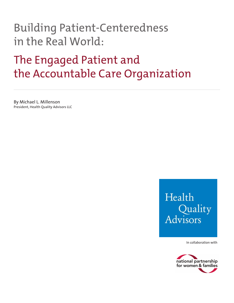## Building Patient-Centeredness in the Real World:

## The Engaged Patient and the Accountable Care Organization

By Michael L. Millenson President, Health Quality Advisors LLC

## Health Quality Advisors

In collaboration with

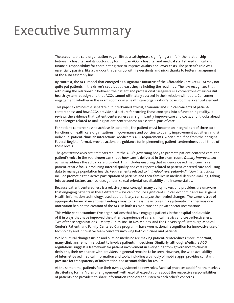## Executive Summary

The accountable care organization began life as a catchphrase signifying a shift in the relationship between a hospital and its doctors. By forming an ACO, a hospital and medical staff shared clinical and financial responsibility for coordinating care to improve quality and lower costs. The patient's role was essentially passive, like a car door that ends up with fewer dents and nicks thanks to better management of the auto assembly line.

By contrast, the ACO model that emerged as a signature initiative of the Affordable Care Act (ACA) may not quite put patients in the driver's seat, but at least they're holding the road map. The law recognizes that rethinking the relationship between the patient and professional caregivers is a cornerstone of successful health system redesign and that ACOs cannot ultimately succeed in their mission without it. Consumer engagement, whether in the exam room or in a health care organization's boardroom, is a central element.

This paper examines the separate but intertwined ethical, economic and clinical concepts of patientcenteredness and how ACOs provide a structure for turning those concepts into a functioning reality. It reviews the evidence that patient-centeredness can significantly improve care and costs, and it looks ahead at challenges related to making patient-centeredness an essential part of care.

For patient-centeredness to achieve its potential, the patient must become an integral part of three core functions of health care organizations: 1) governance and policies: 2) quality improvement activities: and 3) individual patient-clinician interactions. Medicare's ACO requirements, when simplified from their original Federal Register format, provide actionable guidance for implementing patient-centeredness at all three of these levels.

The *governance-level requirements* require the ACO's governing body to promote patient-centered care; the patient's voice in the boardroom can shape how care is delivered in the exam room. *Quality improvement activities* address the actual care provided. This includes ensuring that evidence-based medicine has a patient-centric focus, producing internal quality and cost reports related to patient-centered care and using data to manage population health. Requirements related to *individual level patient-clinician interactions*  include promoting the active participation of patients and their families in medical decision-making, taking into account factors such as race, gender, sexual orientation, disability and income status.

Because patient-centeredness is a relatively new concept, many policymakers and providers are unaware that engaging patients in these different ways can produce significant clinical, economic and social gains. Health information technology, used appropriately, can catalyze the needed changes. The same is true of appropriate financial incentives. Finding a way to harness these forces in a systematic manner was one motivation behind the creation of the ACO in both its Medicare and private sector incarnations.

This white paper examines five organizations that have engaged patients in the hospital and outside of it in ways that have improved the patient experience of care, clinical metrics and cost-effectiveness. Two of those organizations – Mercy Clinics, Inc., in Des Moines, and the University of Pittsburgh Medical Center's Patient- and Family-Centered Care program – have won national recognition for innovative use of technology and innovative team concepts involving both clinicians and patients.

While cultural changes inside and outside medicine are making patient-centeredness more important, many clinicians remain reluctant to involve patients in decisions. Similarly, although Medicare ACO regulations suggest a framework for patient involvement in everything from governance to clinical decisions, their resonance with providers in general remains to be seen. However, the wide availability of Internet-based medical information and tools, including a panoply of mobile apps, provides constant pressure for transparency of information and accountability for results.

At the same time, patients face their own adjustment to new roles. Medical practices could find themselves distributing formal "rules of engagement" with explicit expectations about the respective responsibilities of patients and providers to share information candidly and listen to each other's concerns.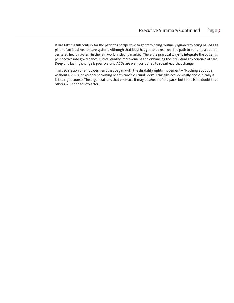It has taken a full century for the patient's perspective to go from being routinely ignored to being hailed as a pillar of an ideal health care system. Although that ideal has yet to be realized, the path to building a patientcentered health system in the real world is clearly marked. There are practical ways to integrate the patient's perspective into governance, clinical quality improvement and enhancing the individual's experience of care. Deep and lasting change is possible, and ACOs are well-positioned to spearhead that change.

The declaration of empowerment that began with the disability rights movement – "Nothing about us without us" – is inexorably becoming health care's cultural norm. Ethically, economically and clinically it is the right course. The organizations that embrace it may be ahead of the pack, but there is no doubt that others will soon follow after.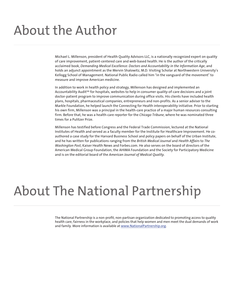# About the Author

Michael L. Millenson, president of Health Quality Advisors LLC, is a nationally recognized expert on quality of care improvement, patient-centered care and web-based health. He is the author of the critically acclaimed book, *Demanding Medical Excellence: Doctors and Accountability in the Information Age*, and holds an adjunct appointment as the Mervin Shalowitz, M.D. Visiting Scholar at Northwestern University's Kellogg School of Management. National Public Radio called him "in the vanguard of the movement" to measure and improve American medicine.

In addition to work in health policy and strategy, Millenson has designed and implemented an Accountability Audit<sup>5M</sup> for hospitals, websites to help in consumer quality-of-care decisions and a joint doctor-patient program to improve communication during office visits. His clients have included health plans, hospitals, pharmaceutical companies, entrepreneurs and non-profits. As a senior adviser to the Markle Foundation, he helped launch the Connecting for Health interoperability initiative. Prior to starting his own firm, Millenson was a principal in the health-care practice of a major human resources consulting firm. Before that, he was a health-care reporter for the *Chicago Tribune*, where he was nominated three times for a Pulitzer Prize.

Millenson has testified before Congress and the Federal Trade Commission, lectured at the National Institutes of Health and served as a faculty member for the Institute for Healthcare Improvement. He coauthored a case study for the Harvard Business School and policy papers on behalf of the Urban Institute, and he has written for publications ranging from the *British Medical Journal* and *Health Affairs* to *The Washington Post*, Kaiser Health News and Forbes.com. He also serves on the board of directors of the American Medical Group Foundation, the AHIMA Foundation and the Society for Participatory Medicine and is on the editorial board of the *American Journal of Medical Quality.*

## About The National Partnership

The National Partnership is a non-profit, non-partisan organization dedicated to promoting access to quality health care, fairness in the workplace, and policies that help women and men meet the dual demands of work and family. More information is available at www.NationalPartnership.org.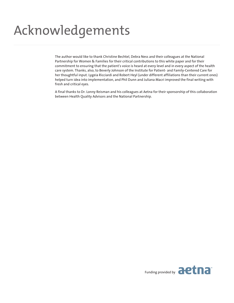# Acknowledgements

The author would like to thank Christine Bechtel, Debra Ness and their colleagues at the National Partnership for Women & Families for their critical contributions to this white paper and for their commitment to ensuring that the patient's voice is heard at every level and in every aspect of the health care system. Thanks, also, to Beverly Johnson of the Institute for Patient- and Family-Centered Care for her thoughtful input. Lygeia Ricciardi and Robert Heyl (under different affiliations than their current ones) helped turn idea into implementation, and Phil Dunn and Juliana Macri improved the final writing with fresh and critical eyes.

A final thanks to Dr. Lonny Reisman and his colleagues at Aetna for their sponsorship of this collaboration between Health Quality Advisors and the National Partnership.

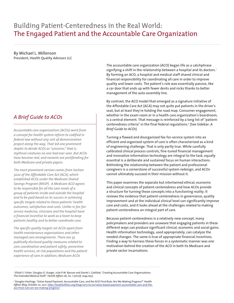## Building Patient-Centeredness in the Real World: The Engaged Patient and the Accountable Care Organization

#### By Michael L. Millenson President, Health Quality Advisors LLC

### *A Brief Guide to ACOs*

*Accountable care organizations (ACOs) went from a concept for health system reform to codified in federal law without any sort of demonstration project along the way. That led one prominent skeptic to deride ACOs as "unicorns;" that is, mythical creatures no one had ever seen. But ACOs have become real, and variants are proliferating for both Medicare and private payers.* 

*The most prominent version comes from Section 3022 of the Affordable Care Act (ACA), which established ACOs under the Medicare Shared Savings Program (MSSP). A Medicare ACO agrees to be responsible for all the care needs of a group of patients inside and outside the hospital and to be paid based on its success in achieving specific targets related to those patients' health outcomes, satisfaction and costs. Unlike in fee-forservice medicine, clinicians and the hospital have a financial incentive to work as a team to keep patients healthy and to better coordinate care.*

*The specific quality targets set ACOs apart from health maintenance organizations and other managed care arrangements. There are 33 publically disclosed quality measures related to care coordination and patient safety, preventive health services, at-risk populations and the patient experience of care.In addition, Medicare ACOs* 

The accountable care organization (ACO) began life as a catchphrase signifying a shift in the relationship between a hospital and its doctors.<sup>1</sup> By forming an ACO, a hospital and medical staff shared clinical and financial responsibility for coordinating all care in order to improve quality and lower costs. The patient's role was essentially passive, like a car door that ends up with fewer dents and nicks thanks to better management of the auto assembly line.

By contrast, the ACO model that emerged as a signature initiative of the Affordable Care Act (ACA) may not quite put patients in the driver's seat, but at least they're holding the road map. Consumer engagement, whether in the exam room or in a health care organization's boardroom, is a central element. That message is reinforced by a long list of "patientcenteredness criteria" in the final federal regulations.2 (See Sidebar: *A Brief Guide to ACOs*)

Turning a flawed and disorganized fee-for-service system into an efficient and organized system of care is often characterized as a kind of engineering challenge. That is only partly true. While carefully calibrated clinical process controls, fine-tuned financial management and innovative information technology are integral to the task, equally essential is a deliberate and sustained focus on human interactions. Rethinking the relationship between the patient and professional caregivers is a cornerstone of successful system redesign, and ACOs cannot ultimately succeed in their mission without it.

This paper examines the separate but intertwined ethical, economic and clinical concepts of patient-centeredness and how ACOs provide a structure for turning those concepts into a functioning reality. It reviews the evidence that patient-centeredness in governance, quality improvement and at the individual clinical level can significantly improve care and costs, and it looks ahead at the challenges related to making patient-centeredness an integral part of care.

Because patient-centeredness is a relatively new concept, many policymakers and providers are unaware that engaging patients in these different ways can produce significant clinical, economic and social gains. Health information technology, used appropriately, can catalyze the needed changes. The same is true of appropriate financial incentives. Finding a way to harness these forces in a systematic manner was one motivation behind the creation of the ACO in both its Medicare and private sector incarnations.

1 Elliott S. Fisher, Douglas O. Staiger, Julie P.W. Bynum and Daniel J. Gottlieb, "Creating Accountable Care Organizations: The Extended Medical Staff," *Health Affairs* 26, no. 1 (2007): w44-w57.

2 Douglas Hastings, "Value-based Payment, Accountable Care, and the ACO Final Rule: Are We Making Progress?" *Health Affairs Blog*, October 22, 2011. http://healthaffairs.org/blog/2011/10/22/value-based-payment-accountable-care-and-theaco-final-rule-are-we-making-progress/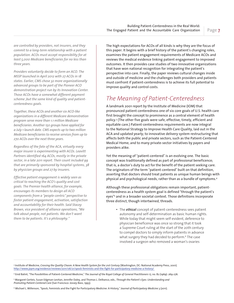*are controlled by providers, not insurers, and they commit to a long-term relationship with a patient population. ACOs must accept responsibility for at least 5,000 Medicare beneficiaries for no less than three years.*

*Providers voluntarily decide to form an ACO. The MSSP launched in April 2012 with 27 ACOs in 18 states. Earlier, CMS chose 32 more organizationally advanced groups to be part of the Pioneer ACO demonstration project run by its Innovation Center. Those ACOs have a somewhat different payment scheme ,but the same kind of quality and patientcenteredness goals.*

*Together, these ACOs and another six ACO-like organizations in a different Medicare demonstration program serve more than 1.1 million Medicare beneficiaries. Another 150 groups have applied for a July 1 launch date. CMS expects up to two million Medicare beneficiaries to receive services from up to 270 ACOs over the next three years.* 

*Regardless of the fate of the ACA, virtually every major insurer is experimenting with ACOs. Leavitt Partners identified 164 ACOs, mostly in the private sector, in a late 2011 report. Their count included 99 that are primarily sponsored by hospital systems, 38 by physician groups and 27 by insurers.*

*Effective patient engagement is widely seen as critical to reaching the ACO's quality and cost goals. The Premier health alliance, for example, encourages its members to design all ACO components from a "people-centric" perspective to foster patient engagement, activation, satisfaction and accountability for their health. Said Stacey Brown, vice president of alliance operations, "We talk about people, not patients. We don't want them to be patients. It's a philosophy."*

The high expectations for ACOs of all kinds is why they are the focus of this paper. It begins with a brief history of the patient's changing roles, examines the patient engagement requirements of Medicare ACOs and reviews the medical evidence linking patient engagement to improved outcomes. It then provides case studies of two innovative organizations that have won national recognition for integrating the patient's perspective into care. Finally, the paper reviews cultural changes inside and outside of medicine and the challenges both providers and patients must confront if patient-centeredness is to achieve its full potential to improve quality and control costs.

## *The Meaning of Patient-Centeredness*

A landmark 2001 report by the Institute of Medicine (IOM) that pronounced patient-centeredness one of six core goals of U.S. health care first brought the concept to prominence as a central element of health policy.3 (The other five goals were safe, effective, timely, efficient and equitable care.) Patient-centeredness requirements are now integral to the National Strategy to Improve Health Care Quality, laid out in the ACA and updated yearly; to innovative delivery system restructuring that affects both the public and private sectors, such as the Patient-Centered Medical Home; and to many private-sector initiatives by payers and providers alike.

Yet the meaning of "patient-centered" is an evolving one. The basic concept was traditionally defined as part of professional beneficence; that is, a doctor's duty to act for the benefit of the patient seeking care. The originators of the term "patient-centered" built on that definition, asserting that doctors should treat patients as unique human beings with physical and psychological needs, rather than as a bundle of symptoms.4

Although these professional obligations remain important, patientcenteredness as a health system goal is defined "through the patient's eyes"<sup>5</sup> and in a broader societal context. Those definitions incorporate three distinct, though intertwined, threads.

• The *ethical* concept of patient-centeredness sees patient autonomy and self-determination as basic human rights. While today that might seem self-evident, deference to physician beneficence was once so strong that it took a Supreme Court ruling at the start of the 20th century to compel doctors to simply inform patients in advance what surgery they had decided to perform.<sup>6</sup> The case involved a surgeon who removed a woman's ovaries

3 Institute of Medicine, *Crossing the Quality Chasm: A New Health System for the 21st Century* (Washington, DC: National Academy Press, 2001). http://www.jopm.org/evidence/reviews/2011/06/21/spock-feminists-and-the-fight-for-participatory-medicine-a-history/

4 Enid Balint, "The Possibilities of Patient-Centered Medicine," *The Journal of the Royal College of General Practitioners* 17, no. 82 (1969): 269-276.

5 Margaret Gerteis, Susan Edgman-Levitan, Jennifer Daley, and Thomas L. Delbanco, eds., *Through the Patient's Eyes: Understanding and Promoting Patient-Centered Care* (San Francisco: Jossey-Bass, 1993).

6 Michael L. Millenson, "Spock, Feminists and the Fight for Participatory Medicine: A History," *Journal of Participatory Medicine* 3 (2011).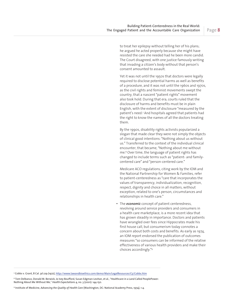to treat her epilepsy without telling her of his plans; he argued he acted properly because she might have resisted the care she needed had he been more candid. The Court disagreed, with one justice famously writing that invading a citizen's body without that person's consent amounted to assault.

Yet it was not until the 1950s that doctors were legally required to disclose potential harms as well as benefits of a procedure, and it was not until the 1960s and 1970s, as the civil rights and feminist movements swept the country, that a nascent "patient rights" movement also took hold. During that era, courts ruled that the disclosure of harms and benefits must be in plain English, with the extent of disclosure "measured by the patient's need.7 And hospitals agreed that patients had the right to know the names of all the doctors treating them.

By the 1990s, disability rights activists popularized a slogan that made clear they were not simply the objects of clinical good intentions: "Nothing about us without us." Transferred to the context of the individual clinical encounter, that became, "Nothing about me without me.8 Over time, the language of patient rights has changed to include terms such as "patient- and familycentered care" and "person-centered care."

Medicare ACO regulations, citing work by the IOM and the National Partnership for Women & Families, refer to patient-centeredness as "care that incorporates the values of transparency, individualization, recognition, respect, dignity and choice in all matters, without exception, related to one's person, circumstances and relationships in health care."

• The *economic* concept of patient centeredness, revolving around service providers and consumers in a health care marketplace, is a more recent idea that has grown steadily in importance. Doctors and patients have wrangled over fees since Hippocrates made his first house call, but consumerism today connotes a concern about both costs and benefits. As early as 1974, an IOM report endorsed the publication of outcomes measures "so consumers can be informed of the relative effectiveness of various health providers and make their choices accordingly."<sup>9</sup>

7 Cobbs v. Grant, 8 Cal. 3d 229 (1972), http://www.lawandbioethics.com/demo/Main/LegalResources/C5/Cobbs.htm

9 Institute of Medicine, *Advancing the Quality of Health Care* (Washington, DC: National Academy Press, 1974), 1-4.

<sup>8</sup> Tom Delbanco, Donald M. Berwick, Jo Ivey Boufford, Susan Edgman-Levitan, et al., "Healthcare in a Land Called PeoplePower: Nothing About Me Without Me," *Health Expectations* 4, no. 3 (2001): 144-150.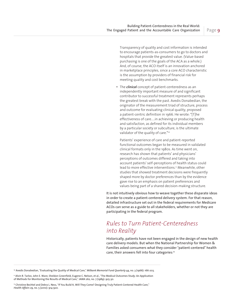Transparency of quality and cost information is intended to encourage patients-as-consumers to go to doctors and hospitals that provide the greatest value. (Value-based purchasing is one of the goals of the ACA as a whole.) And, of course, the ACO itself is an innovation anchored in marketplace principles, since a core ACO characteristic is the assumption by providers of financial risk for meeting quality and cost benchmarks.

• The *clinical* concept of patient-centeredness as an independently important measure of and significant contributor to successful treatment represents perhaps the greatest break with the past. Avedis Donabedian, the originator of the measurement triad of structure, process and outcome for evaluating clinical quality, proposed a patient-centric definition in 1966. He wrote: "[T]he effectiveness of care…in achieving or producing health and satisfaction, as defined for its individual members by a particular society or subculture, is the ultimate validator of the quality of care."<sup>10</sup>

Patients' experience of care and patient-reported functional outcomes began to be measured in validated clinical formats only in the 1980s. As time went on, research has shown that patients' and physicians' perceptions of outcomes differed and taking into account patients' self-perceptions of health status could lead to more effective interventions.<sup>11</sup> Meanwhile, other studies that showed treatment decisions were frequently shaped more by doctor preferences than by the evidence gave rise to an emphasis on patient preferences and values being part of a shared decision-making structure.

It is not intuitively obvious how to weave together these disparate ideas in order to create a patient-centered delivery system. For that reason, detailed infrastructure set out in the federal requirements for Medicare ACOs can serve as a guide to all stakeholders, whether or not they are participating in the federal program.

## *Rules to Turn Patient-Centeredness into Reality*

Historically, patients have not been engaged in the design of new health care delivery models. But when the National Partnership for Women & Families asked consumers what they consider "patient-centered" health care, their answers fell into four categories:<sup>12</sup>

<sup>10</sup> Avedis Donabedian, "Evaluating the Quality of Medical Care," Milbank Memorial Fund Quarterly 44, no. 3 (1966): 166-203.

<sup>12</sup> Christine Bechtel and Debra L. Ness, "If You Build It, Will They Come? Designing Truly Patient-Centered Health Care," *Health Affairs* 29, no. 5 (2010): 914-920.

<sup>11</sup> Alvin R. Tarlov, John E. Ware, Sheldon Greenfield, Eugene C. Nelson, et al., "The Medical Outcomes Study: An Application of Methods for Monitoring the Results of Medical Care," *JAMA* 262, no. 7 (1989): 925-30.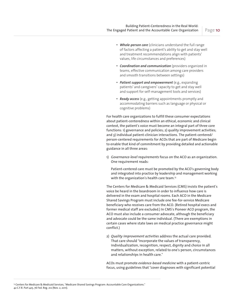- *Whole-person care* (clinicians understand the full range of factors affecting a patient's ability to get and stay well and treatment recommendations align with patients' values, life circumstances and preferences)
- *Coordination and communication* (providers organized in teams, effective communication among care providers and smooth transitions between settings)
- *Patient support and empowerment* (e.g., expanding patients' and caregivers' capacity to get and stay well and support for self-management tools and services)
- *Ready access* (e.g., getting appointments promptly and accommodating barriers such as language or physical or cognitive problems)

For health care organizations to fulfill these consumer expectations about patient-centeredness within an ethical, economic and clinical context, the patient's voice must become an integral part of three core functions: 1) governance and policies; 2) quality improvement activities; and 3) individual patient-clinician interactions. The patient-centered/ person-centered requirements for ACOs that are part of Medicare begin to enable that kind of commitment by providing detailed and actionable guidance in all three areas:

1) *Governance-level requirements* focus on the ACO as an organization. One requirement reads:

Patient-centered care must be promoted by the ACO's governing body and integrated into practice by leadership and management working with the organization's health care team.<sup>13</sup>

The Centers for Medicare & Medicaid Services (CMS) insists the patient's voice be heard in the boardroom in order to influence how care is delivered in the exam and hospital rooms. Each ACO in the Medicare Shared Savings Program must include one fee-for-service Medicare beneficiary who receives care from the ACO. (Retired hospital execs and former medical staff are excluded.) In CMS's Pioneer ACO program, the ACO must also include a consumer advocate, although the beneficiary and advocate could be the same individual. (There are exemptions in certain cases where state laws on medical practice governance might conflict.)

2) *Quality improvement activities* address the actual care provided. That care should "incorporate the values of transparency, individualization, recognition, respect, dignity and choice in all matters, without exception, related to one's person, circumstances and relationships in health care."

ACOs must promote *evidence-based medicine* with a patient-centric focus, using guidelines that "cover diagnoses with significant potential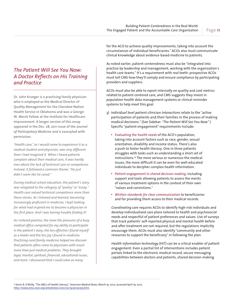Page 11

### *The Patient Will See You Now: A Doctor Reflects on His Training and Practice*

**Dr. John Krueger is a practicing family physician who is employed as the Medical Director of Quality Management for the Cherokee Nation Health Service in Oklahoma and was a George W. Merck Fellow at the Institute for Healthcare Improvement. A longer version of this essay appeared in the Dec. 28, 2011 issue of the** *Journal of Participatory Medicine* **and is excerpted with permission.**

*"Health care," as I would come to experience it as a medical student and physician, was very different than I had imagined it. When I heard patients complain about their medical care, it was hardly ever about the lack of technical care or competence. Instead, it followed a common theme: "He just didn't seem like he cared."*

*During medical school education, the patient's story was relegated to the category of "poetry" or "essay." Health care valued technical competence more than these stories. As I listened and learned, becoming increasingly proficient in medicine, I kept looking for what had inspired me to become a physician in the first place. And I was having trouble finding it!* 

*As I entered practice, the more the pressures of a busy medical office competed for my ability to participate in the patient's story, the less effective I found myself as a healer and the less joy I found in medicine. Practicing rural family medicine helped me discover that patients often come to physicians with much more than just medical problems. They brought legal, marital, spiritual, financial, educational issues, and more. I discovered that I could solve as many* 

for the ACO to achieve quality improvements, taking into account the circumstances of individual beneficiaries." ACOs also must communicate clinical knowledge about evidence-based medicine to patients.

As noted earlier, patient-centeredness must also be "integrated into practice by leadership and management, working with the organization's health care teams." It's a requirement with real teeth: prospective ACOs must tell CMS how they'll comply and ensure compliance by participating providers and suppliers.

ACOs must also be able to report internally on quality and cost metrics related to patient-centered care, and CMS suggests they invest in population health data management systems or clinical reminder systems to help meet this goal.

- 3) *Individual level patient-clinician interactions* relate to the "active participation of patients and their families in the process of making medical decisions." (See Sidebar: *"The Patient Will See You Now"* ) Specific "patient engagement" requirements include:
	- *Evaluating the health needs* of the ACO's population, taking into account factors such as race, gender, sexual orientation, disability and income status. There's also a push to foster health literacy. One in three patients struggles with tasks such as understanding a short set of instructions.14 The more serious or numerous the medical issues, the more difficult it can be even for well-educated individuals to decipher complex health information.
	- *Patient engagement in shared decision-making,* including support and tools allowing patients to assess the merits of various treatment options in the context of their own "values and convictions."
	- *Written standards for clear communication* to beneficiaries and for providing them access to their medical records.

*Coordinating care* requires ACOs to identify high-risk individuals and develop individualized care plans tailored to health and psychosocial needs and respectful of patient preferences and values. Use of surveys that track patients' self-reported physical and mental health before and after treatment are not required, but the regulations implicitly encourage them. ACOs must also identify "community and other resources to support the beneficiary" in following the plan.

*Health information technology* (HIT) can be a critical enabler of patient engagement. Even a partial list of interventions includes patient portals linked to the electronic medical record, secure messaging capabilities between doctors and patients, shared decision-making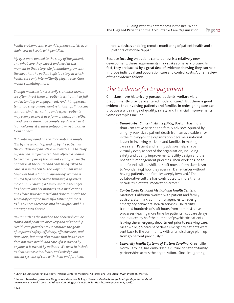*health problems with a car ride, phone call, letter, or chain-saw as I could with penicillin.* 

*My eyes were opened to the story of the patient, and what care they expect and need at this moment in their story. My fascination grew with the idea that the patient's life is a story in which health care only intermittently plays a role. Care meant something more.*

*Though medicine is necessarily standards driven, we often thrust these on patients without their full understanding or engagement. And this approach tends to set up a dependent relationship. If it occurs without kindness, caring, and respect, patients may even perceive it as a form of harm, and either avoid care or disengage completely. And when it is unwelcome, it creates antagonism, yet another form of harm.* 

*But, with my hand on the doorknob, the simple "Oh by the way…" offered up by the patient at the conclusion of an office visit invites me to delay my agenda and just listen. I am offered a chance to become a part of the patient's story, where the patient is at the center and I am being asked to care. It is in the "oh by the way" moment when I discover that a "normal appearing" woman is abused by a model citizen husband; a spouse's alcoholism is driving a family apart; a teenager has been taking her mother's pain medications; and I learn how depressed and close to suicide the seemingly carefree successful father of three is as his business descends into bankruptcy and his marriage into divorce….*

*Pauses such as the hand on the doorknob can be transitional points to discovery and relationship…. Health care providers must embrace the goals of improved safety, efficiency, effectiveness, and timeliness, but must also realize that health care does not own health and care. If it is owned by anyone, it is owned by patients. We need to include patients as we listen, learn, and redesign our current systems of care with them and for them.*

tools, devices enabling remote monitoring of patient health and a plethora of mobile "apps."

Because focusing on patient-centeredness is a relatively new development, these requirements may strike some as arbitrary. In fact, they are backed by a great deal of evidence showing they can help improve individual and population care and control costs. A brief review of that evidence follows.

## *The Evidence for Engagement*

Clinicians have historically pursued patients' welfare via a predominantly provider-centered model of care.15 But there is good evidence that involving patients and families in redesigning care can produce a wide range of quality, safety and financial improvements. Some examples include:

- *Dana-Farber Cancer Institute (DFCI),* Boston, has more than 400 active patient and family advisors. Spurred by a highly publicized patient death from an avoidable error in the mid-1990s, the organization became a national leader in involving patients and families in making care safer. Patient and family advisors help shape virtually every aspect of the organization, including safety and quality improvement, facility design and the hospital's management priorities. Their work has led to a profound culture shift, as staff moved from skepticism to "wonder[ing] how they ever ran Dana-Farber without having patients and families deeply involved." The collaborative culture has contributed to more than a decade free of fatal medication errors.16
- *Contra Costa Regional Medical and Health Centers,*  Martinez, California, worked with patient and family advisors, staff, and community agencies to redesign emergency behavioral health services. The facility trimmed hundreds of staff hours from administrative processes (leaving more time for patients), cut care delays and reduced by half the number of psychiatric patients leaving the emergency department prior to receiving care. Meanwhile, 90 percent of those emergency patients were sent back to the community with a full discharge plan, up from 50 percent previously.17
- *University Health Systems of Eastern Carolina,* Greenville, North Carolina, has embedded a culture of patient-family partnerships across the organization. Since integrating

<sup>15</sup> Christine Laine and Frank Davidoff, "Patient-Centered Medicine: A Professional Evolution," *JAMA* 275 (1996):152-156.

<sup>16</sup> James L. Reinertsen, Maureen Bisognano and Michael D. Pugh, *Seven Leadership Leverage Points for Organization-Level Improvement in Health Care, 2nd Edition* (Cambridge, MA: Institute for Healthcare Improvement, 2008).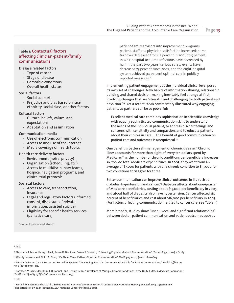#### Table 1: **Contextual factors affecting clinician-patient/family communications**

#### **Diesase related factors**

- Type of cancer
- Stage of disease
- Comorbid conditions
- Overall health status

#### **Social factors**

- Social support
- Prejudice and bias based on race, ethnicity, social class, or other factors

#### **Cultural factors**

- Cultural beliefs, values, and expectations
- Adaptation and assimilation

#### **Communication media**

- Use of electronic communication
- Access to and use of the Internet
- Media coverage of health topics

#### **Health care delivery factors**

- Environment (noise, privacy)
- Organization (scheduling, etc.)
- Access to multidisciplinary teams, hospice, navigation programs, and clinical trial protocols

#### **Societal factors**

- Access to care, transportation, insurance
- Legal and regulatory factors (informed consent, disclosure of private information, assisted suicide)
- Eligibility for specific health services (palliative care)

Source: Epstein and Street<sup>24</sup>

patient-family advisors into improvement programs patient, staff and physician satisfaction increased; nurse turnover decreased from 15 percent in 2008 to 5 percent in 2011; hospital-acquired infections have decreased by half in the past two years; serious safety events have decreased 73 percent since 2007; and the eight-hospital system achieved 94 percent optimal care in publicly reported measures.18

Implementing patient engagement at the individual clinical level poses its own set of challenges. New habits of information sharing, relationship building and shared decision-making inevitably feel strange at first, involving changes that are "stressful and challenging for both patient and physician."19 Yet a recent *JAMA* commentary illustrated why engaging patients as partners can be so powerful:

Excellent medical care combines sophistication in scientific knowledge with equally sophisticated communication skills to understand the needs of the individual patient, to address his/her feelings and concerns with sensitivity and compassion, and to educate patients about their choices in care….The benefit of good communication on patient care and outcomes is unequivocal.<sup>20</sup>

One benefit is better self-management of chronic disease.<sup>21</sup> Chronic illness accounts for more than eight of every ten dollars spent by Medicare;<sup>22</sup> as the number of chronic conditions per beneficiary increases, so, too, do total Medicare expenditures, In 2005, they went from an average of \$7,000 for patients with one chronic condition to \$15,000 for two conditions to \$32,500 for three.

Better communication can improve clinical outcomes in ills such as diabetes, hypertension and cancer.23 Diabetes affects about one-quarter of Medicare beneficiaries, costing about \$13,000 per beneficiary in 2005, and about half of diabetics also have hypertension. Cancer affected six percent of beneficiaries and cost about \$16,000 per beneficiary in 2005. (For factors affecting communication related to cancer care, see Table 1.)

More broadly, studies show "unequivocal and significant relationships" between doctor-patient communication and patient outcomes such as

#### 18 Ibid.

19 Stephanie J. Lee, Anthony L. Back, Susan D. Block and Susan K. Stewart, "Enhancing Physician-Patient Communication," *Hematology* (2002): 464-83.

<sup>20</sup> Wendy Levinson and Philip A. Pizzo, "It's About Time: Patient-Physician Communication," JAMA 305, no. 17 (2011): 1802-1803.

21 Wendy Levinson, Cara S. Lesser and Ronald M. Epstein, "Developing Physician Communication Skills for Patient-Centered Care," *Health Affairs* 29, no. 7 (2010): 1310-1318.

<sup>22</sup> Kathleen M Schneider, Brian E O'Donnell, and Debbie Dean, "Prevalence of Multiple Chronic Conditions in the United States Medicare Population," *Health and Quality of Life Outcomes* 7, no. 82 (2009).

23 Ibid.

24 Ronald M. Epstein and Richard L. Street, *Patient-Centered Communication in Cancer Care: Promoting Healing and Reducing Suffering,* NIH Publication No. 07-6225 (Bethesda, MD: National Cancer Institute, 2007).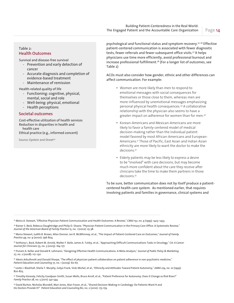#### Table 2: **Health Outcomes**

Survival and disease-free survival

- Prevention and early detection of cancer
- Accurate diagnosis and completion of evidence-based treatment
- Maintenance of remission

Health-related quality of life

- Functioning: cognitive, physical, mental, social and role
- Well-being: physical, emotional
- Health perceptions

#### **Societal outcomes**

Cost-effective utilization of health services Reduction in disparities in health and health care

Ethical practice (e.g., informed concent)

Source: Epstein and Street<sup>24</sup>

psychological and functional status and symptom recovery.25 26 Effective patient-centered communication is associated with fewer diagnostic tests, fewer referrals and fewer subsequent office visits.<sup>27</sup> It helps physicians use time more efficiently, avoid professional burnout and increase professional fulfillment.28 (For a longer list of outcomes, see Table 2)

ACOs must also consider how gender, ethnic and other differences can affect communication. For example:

- Women are more likely than men to respond to emotional messages with social consequences for themselves or those close to them, whereas men are more influenced by unemotional messages emphasizing personal physical health consequences.29 A collaborative relationship with the physician also seems to have a greater impact on adherence for women than for men.30
- Korean-Americans and Mexican-Americans are more likely to favor a family-centered model of medical decision-making rather than the individual patient model favored by most African-Americans and European-Americans.31 Those of Pacific, East Asian and Indian Asian ethnicity are more likely to want the doctor to make the decisions.32
- Elderly patients may be less likely to express a desire to be "involved" with care decisions, but may become much more confident about the care they receive after clinicians take the time to make them partners in those decisions.33

To be sure, better communication does not by itself produce a patientcentered health care system. As mentioned earlier, that requires involving patients and families in governance, clinical systems and

25 Moira A. Stewart, "Effective Physician-Patient Communication and Health Outcomes: A Review," *CMAJ* 152, no. 9 (1995): 1423–1433.

<sup>26</sup> Rainer S. Beck, Rebecca Daughtridge and Philip D. Sloane, "Physician-Patient Communication in the Primary Care Office: A Systematic Review," *Journal of the American Board of Family Practice* 15, no. 1 (2002): 25-38.

27 Moira Stewart, Judith B. Brown, Allan Donner, Ian R. McWhinney, et al., "The Impact of Patient-Centered Care on Outcomes," *Journal of Family Practice* 49, no. 9 (2000): 796-804.

28 Anthony L. Back, Robert M. Arnold, Walter F. Baile, James A. Tulsky, et al., "Approaching Difficult Communications Tasks in Oncology," *CA: A Cancer Journal for Clinicians* 55, no. 3 (2005): 164-177.

29 Punam A. Keller and Donald R. Lehmann, "Designing Effective Health Communications: A Meta-Analysis," *Journal of Public Policy & Marketing* 27, no. 2 (2008): 117–130.

3º Alexis Arbuthnott and Donald Sharpe, "The effect of physician-patient collaboration on patient adherence in non-psychiatric medicine," *Patient Education and Counseling* 77, no. 1 (2009): 60-67.

31 Leslie J. Blackhall, Sheila T. Murphy, Gelya Frank, Vicki Michel, et al., "Ethnicity and Attitudes Toward Patient Autonomy," *JAMA* 274, no. 10 (1995): 820-825.

32 Timothy Kenealy, Felicity Goodyear-Smith, Susan Wells, Bruce Arroll, et al., "Patient Preference for Autonomy: Does it Change as Risk Rises?" *Family Practice* 28, no. 5 (2011): 541-544.

33 David Burton, Nicholas Blundell, Mari Jones, Alan Fraser, et al., "Shared Decision-Making in Cardiology: Do Patients Want It and Do Doctors Provide It?" *Patient Education and Counseling* 80, no. 2 (2010): 173-179.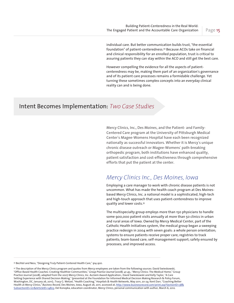individual care. But better communication builds trust, "the essential foundation" of patient-centeredness.34 Because ACOs take on financial and clinical responsibility for an enrolled population, trust is critical to assuring patients they can stay within the ACO and still get the best care.

However compelling the evidence for all the aspects of patientcenteredness may be, making them part of an organization's governance and of its patient care processes remains a formidable challenge. Yet turning these sometimes complex concepts into an everyday clinical reality can and is being done.

### Intent Becomes Implementation: *Two Case Studies*

**Mercy Clinics, Inc., Des Moines, and the Patient- and Family-Centered Care program at the University of Pittsburgh Medical Center**'**s Magee-Womens Hospital have each been recognized nationally as successful innovators. Whether it is Mercy**'**s unique chronic disease outreach or Magee-Womens**' **path-breaking orthopedic program, both institutions have enhanced quality, patient satisfaction and cost-effectiveness through comprehensive efforts that put the patient at the center.** 

### *Mercy Clinics Inc., Des Moines, Iowa*

Employing a care manager to work with chronic disease patients is not uncommon. What has made the health coach program at Des Moinesbased Mercy Clinics, Inc. a national model is a sophisticated, high-tech and high-touch approach that uses patient-centeredness to improve quality and lower costs.35

The multispecialty group employs more than 150 physicians to handle some 900,000 patient visits annually at more than 50 clinics in urban and rural areas of Iowa. Owned by Mercy Medical Center, part of the Catholic Health Initiatives system, the medical group began a sweeping practice redesign in 2004 with seven goals: a whole person orientation; systems to ensure patients receive proper care; registries to track patients; team-based care; self-management support; safety ensured by processes; and improved access.

34 Bechtel and Ness, "Designing Truly Patient-Centered Health Care," 914-920.

35 The description of the Mercy Clinics program and quotes from Mercy employees are taken from the following sources: David Swieskowski, "Office-Based Health Coaches: Creating Healthier Communities," *Group Practice Journal* (2008): 41-45.; "Mercy Clinics: The Medical Home," Group Practice Journal (2008), adapted from the 2007 Mercy Clinics, Inc. Acclaim Award Application.; David Swieskowski and Kelly Taylor, "A Care Setting Experience with Shared Decision Making," (presented at the Foundation for Informed Medical Decision Making Research & Policy Forum, Washington, DC, January 26, 2011).; Tracy G. Wetzel, "Health Coaching," *Hospitals & Health Networks,* May 2011, 20-24; Kent Darr, "Coaching Better Health at Mercy Clinics," *Business Record,* Des Moines, Iowa, August 26, 2011, accessed at, http://www.businessrecord.com/print.asp?SectionID=38& SubsectionID=101&ArticleID=14823; Del Konopka, education coordinator, Mercy Clinics, personal communication with author, March 6, 2012.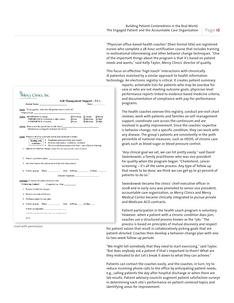"Physician office-based health coaches" (their formal title) are registered nurses who complete a 28-hour certification course that includes training in motivational interviewing and other behavior change techniques. "One of the important things about the program is that it's based on patient needs and wants," said Kelly Taylor, Mercy Clinics' director of quality.

This focus on effective "high touch" interactions with chronically ill patientsis matched by a similar approach to health information technology. An electronic registry is critical. It creates patient summary

> reports; actionable lists for patients who may be overdue for care or who are not meeting outcome goals; physician-level performance reports linked to evidence-based medicine criteria; and documentation of compliance with pay-for-performance programs.

> The health coaches oversee this registry, conduct pre-visit chart reviews, work with patients and families on self-management support, coordinate care across the continuum and are involved in quality improvement. Since the coaches' expertise is behavior change, not a specific condition, they can work with any disease. The group's patients are consistently in the 90th percentile of national measures, such as HEDIS, of chronic care goals such as blood sugar or blood pressure control.

"Any clinical goal we set, we can hit pretty easily," said David Swieskowski, a family practitioner who was vice president for quality when the program began. "Cholesterol, cancer screening – it's all the same process. Any type of follow up that needs to be done, we think we can get 95 to 97 percent of patients to do so."

Swieskowski became the clinics' chief executive officer in 2008 and in early 2012 was promoted to senior vice president, accountable care organization, as Mercy Clinics and Mercy Medical Center became clinically integrated to pursue private and Medicare ACO contracts.

Patient participation in the health coach program is voluntary. However, when a patient with a chronic condition does join, coaches use a structured process known as the "5As." The process is based on principles of mutual discovery and respect

for patient values that result in collaboratively picking goals that are patient-directed. Coaches then develop a behavior-change plan with oneto two-week follow-up periods.

"We might tell somebody that they need to start exercising," said Taylor. "But does anybody ask a patient if that's important to them? What are they motivated to do? Let's break it down to what they can achieve."

Patients can contact the coaches easily, and the coaches, in turn, try to reduce incoming phone calls to the office by anticipating patient needs; e.g., calling patients the day after hospital discharge or when there are lab results. Patient advisory councils augment patient satisfaction surveys in determining each site's performance on patient-centered topics and identifying areas for improvement.

| <b>Patient Name:</b>                                                                                                                                                                                                                                                                                                                                                | Self-Management Support – 5A's                             | Date:                          |                                            |
|---------------------------------------------------------------------------------------------------------------------------------------------------------------------------------------------------------------------------------------------------------------------------------------------------------------------------------------------------------------------|------------------------------------------------------------|--------------------------------|--------------------------------------------|
| Agree To an agenda - what does the patient want to work on?                                                                                                                                                                                                                                                                                                         |                                                            |                                |                                            |
| <b>Assess READINESS</b> to change<br><b>IMPORTANCE</b> in relation to other values<br><b>CONFIDENCE</b> of success                                                                                                                                                                                                                                                  | $\Box$ Not ready $\Box$ Unsure<br>$\Box$ Low<br>$\Box$ Low | $\Box$ Medium<br>$\Box$ Medium | $\Box$ Ready<br>$\Box$ High<br>$\Box$ High |
| Advise What would the patient like to talk about?_<br>Information exchanged (elicit-provide-elicit):                                                                                                                                                                                                                                                                |                                                            |                                |                                            |
| Assist Patient to develop a personal action plan (if patient is ready).<br>• Emphasize personal choice and control<br><b>Dealing with</b><br>• Reassess importance, confidence, readiness<br>resistance<br>• Do not confront resistance with force - use reflective listening<br>1. Options for behavior change (usually there are many possible courses of action) |                                                            |                                |                                            |
|                                                                                                                                                                                                                                                                                                                                                                     |                                                            |                                |                                            |
| 3. Are there barriers the patient needs help with (depression)?                                                                                                                                                                                                                                                                                                     |                                                            |                                |                                            |
|                                                                                                                                                                                                                                                                                                                                                                     |                                                            |                                |                                            |
|                                                                                                                                                                                                                                                                                                                                                                     | Educator Signature: 2008. 2009. 2009.                      |                                |                                            |
| <b>Arrange:</b> to contact the patient between visits.                                                                                                                                                                                                                                                                                                              |                                                            |                                |                                            |
| *Follow-up Contact:<br>Completed on - Date:                                                                                                                                                                                                                                                                                                                         |                                                            |                                |                                            |
| 1. Results of behavior changes                                                                                                                                                                                                                                                                                                                                      |                                                            |                                |                                            |
| 2. Barriers encountered (if any)                                                                                                                                                                                                                                                                                                                                    |                                                            |                                |                                            |
| 3. Preferred option for new plan                                                                                                                                                                                                                                                                                                                                    |                                                            |                                |                                            |
| 4. Follow up plan - When: $\qquad \qquad$ How: $\Box$ Phone $\Box$ Other                                                                                                                                                                                                                                                                                            |                                                            |                                |                                            |
| Follow-up Signature:<br>©-2007-Mercy Medical Center, Mercy Clinics, Inc.-All rights reserved.                                                                                                                                                                                                                                                                       |                                                            |                                |                                            |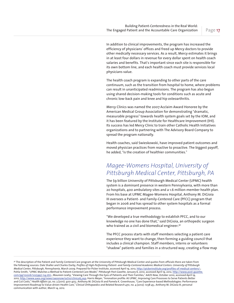In addition to clinical improvements, the program has increased the efficiency of physicians' offices and freed up Mercy doctors to provide other medically necessary services. As a result, Mercy estimates it brings in at least four dollars in revenue for every dollar spent on health coach salaries and benefits. That's important since each site is responsible for its own bottom line, and each health coach must provide services local physicians value.

The health coach program is expanding to other parts of the care continuum, such as the transition from hospital to home, where problems can result in unanticipated readmissions. The program has also begun using shared decision-making tools for conditions such as acute and chronic low-back pain and knee and hip osteoarthritis.

Mercy Clinics was named the 2007 Acclaim Award Honoree by the American Medical Group Association for demonstrating "dramatic, measurable progress" towards health system goals set by the IOM, and it has been featured by the Institute for Healthcare Improvement (IHI). Its success has led Mercy Clinic to train other Catholic Health Initiatives organizations and to partnering with The Advisory Board Company to spread the program nationally.

Health coaches, said Swieskowski, have improved patient outcomes and moved physician practices from reactive to proactive. The biggest payoff, he added, "is the creation of healthier communities."

### *Magee-Womens Hospital, University of Pittsburgh Medical Center, Pittsburgh, PA*

The \$9 billion University of Pittsburgh Medical Center (UPMC) health system is a dominant presence in western Pennsylvania, with more than 20 hospitals, 400 ambulatory sites and a 1.6 million-member health plan. From his base at UPMC Magee-Womens Hospital, Anthony M. DiGioia III oversees a Patient- and Family-Centered Care (PFCC) program that began in 2006 and has spread to other system hospitals as a formal performance improvement process.

"We developed a true methodology to establish PFCC, and to our knowledge no one has done that," said DiGioia, an orthopedic surgeon who trained as a civil and biomedical engineer.<sup>36</sup>

The PFCC process starts with staff members selecting a patient care experience they want to change, then forming a guiding council that includes a clinical champion. Staff members, interns or volunteers "shadow" patients and families in a structured way, creating a flow map

<sup>&</sup>lt;sup>36</sup> The description of the Patient and Family Centered Care program at the University of Pittsburgh Medical Center and quotes from officials there are taken from the following sources: Dale Shaller and Charles Darby, *Profiles of High-Performing Patient- and Family-Centered Academic Medical Centers: University of Pittsburgh Medical Center, Pittsburgh, Pennsylvania,* March 2009. Prepared for Picker Institute, accessed April 19, 2012, http://pickerinstitute.org/profiles-of-medical-centers/.; Pohla Smith, "UPMC Matches a Method to Patient-Centered Care Model," *Pittsburgh Post-Gazette,* January 6, 2010, accessed April 19, 2012, http://www.post-gazette. com/pg/10006/1025997-114.stm.; Maureen Leahy, "Viewing Care Through the Eyes of Patients and Their Families," *AAOS Now,* October 2010, accessed April 19, 2012, http://www.aaos.org/news/aaosnow/oct10/clinical5.asp; Harris Meyer, "Innovation profile: At UPMC, Improving Care Processes to Serve Patients Better and Cut Costs," *Health Affairs* 30, no. 3 (2011): 400-403.; Anthony M. DiGioia III and Pamela K. Greenhouse, "Care Experience-based Methodologies: Performance Improvement Roadmap to Value-driven Health Care," *Clinical Orthopaedics and Related Research* 470, no. 4 (2012): 1038-45.; Anthony M. DiGioia III, personal communication with author, March 14, 2012.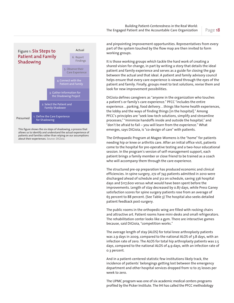

allows us to identify and understand the actual experience of patients and families rather than relying on our assumptions about their experiences. Source: DiGioia.

and pinpointing improvement opportunities. Representatives from every part of the system touched by the flow map are then invited to form working groups.

It is those working groups which tackle the hard work of creating a shared vision for change, in part by writing a story that details the ideal patient and family experience and serves as a guide for closing the gap between the actual and that ideal. A patient and family advisory council helps ensure that every care experience is viewed through the eyes of the patient and family. Finally, groups meet to test solutions, revise them and look for new improvement possibilities.

DiGioia defines caregivers as "anyone in the organization who touches a patient's or family's care experience." PFCC "includes the entire experience…parking, food delivery…things like home health experiences, the lobby and the ways of finding things [in the hospital]." Among PFCC's principles are "seek low-tech solutions, simplify and streamline processes;" "minimize handoffs inside and outside the hospital;" and "don't be afraid to fail – you will learn from the experience." What emerges, says DiGioia, is "co-design of care" with patients.

The Orthopaedic Program at Magee-Womens is the "home" for patients needing hip or knee or arthritis care. After an initial office visit, patients come to the hospital for pre-operative testing and a two-hour educational session. In the program's version of self-management support, each patient brings a family member or close friend to be trained as a coach who will accompany them through the care experience.

The structured pre-op preparation has produced economic and clinical efficiencies. In spine surgery, 272 of 743 patients admitted in 2010 were discharged ahead of schedule and 312 on schedule, saving 336 hospital days and \$117,600 versus what would have been spent before the improvements. Length of stay decreased by 0.87 days, while Press Ganey satisfaction scores for spine surgery patients rose from an average of 65 percent to 88 percent. (See Table 3) The hospital also seeks detailed patient feedback post-surgery.

The public rooms in the orthopedic wing are filled with rocking chairs and attractive art. Patient rooms have mini-desks and small refrigerators. The rehabilitation center looks like a gym. There are interactive games because, said DiGioia, "competition works."

The average length of stay (ALOS) for total knee arthroplasty patients was 2.9 days in 2009, compared to the national ALOS of 3.8 days, with an infection rate of zero. The ALOS for total hip arthroplasty patients was 2.5 days, compared to the national ALOS of 4.9 days, with an infection rate of 0.3 percent.

And in a patient-centered statistic few institutions likely track, the incidence of patients' belongings getting lost between the emergency department and other hospital services dropped from 12 to 25 losses per week to zero.

The UPMC program was one of six academic medical centers programs profiled by the Picker Institute. The IHI has called the PFCC methodology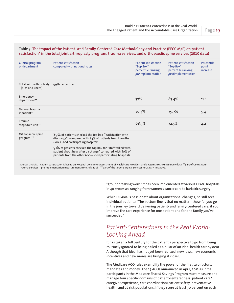#### Table 3: **The impact of the Patient- and Family-Centered Care Methodology and Practice (PFCC M/P) on patient satisfaction\* in the total joint arthroplasty program, trauma services, and orthopaedic spine services (2010 data)**

| Clinical program<br>or department            | <b>Patient satisfaction</b><br>compared with national rates                                                                                                                                                                                                                                                                                         | Patient satisfaction<br>"Top Box"<br>percentile ranking<br>preimplementation | Patient satisfaction<br>"Top Box"<br>percentile ranking<br>postimplementation | Percentile<br>point<br>increase |
|----------------------------------------------|-----------------------------------------------------------------------------------------------------------------------------------------------------------------------------------------------------------------------------------------------------------------------------------------------------------------------------------------------------|------------------------------------------------------------------------------|-------------------------------------------------------------------------------|---------------------------------|
| Total joint arthroplasty<br>(hips and knees) | 99th percentile                                                                                                                                                                                                                                                                                                                                     |                                                                              |                                                                               |                                 |
| Emergency<br>department**                    |                                                                                                                                                                                                                                                                                                                                                     | 77%                                                                          | 87.4%                                                                         | 11.4                            |
| General trauma<br>inpatient**                |                                                                                                                                                                                                                                                                                                                                                     | 70.3%                                                                        | 79.7%                                                                         | 9.4                             |
| Trauma<br>stepdown unit**                    |                                                                                                                                                                                                                                                                                                                                                     | 68.3%                                                                        | 72.5%                                                                         | 4.2                             |
| Orthopaedic spine<br>program***              | 89% of patients checked the top box ("satisfaction with<br>discharge") compared with 83% of patients from the other<br>$600 +$ -bed participating hospitals<br>91% of patients checked the top box for "staff talked with<br>patient about help after discharge" compared with 80% of<br>patients from the other 600 + -bed participating hospitals |                                                                              |                                                                               |                                 |

Source: DiGioia. \* Patient satisfaction is based on Hospital Consumer Assessment of Healthcare Providers and Systems (HCAHPS) survey data; \*\*part of UPMC Adult Trauma Services—preimplementation measurement from July 2008; \*\*\*part of the larger Surgical Services PFCC M/P initiative.

> "groundbreaking work." It has been implemented at various UPMC hospitals in 40 processes ranging from women's cancer care to bariatric surgery.

> While DiGioia is passionate about organizational changes, he still sees individual patients: "The bottom line is that no matter …how far you go in the journey toward delivering patient- and family-centered care, if you improve the care experience for one patient and for one family you've succeeded."

## *Patient-Centeredness in the Real World: Looking Ahead*

It has taken a full century for the patient's perspective to go from being routinely ignored to being hailed as a pillar of an ideal health care system. Although that ideal has not yet been realized, new laws, new economic incentives and new mores are bringing it closer.

The Medicare ACO rules exemplify the power of the first two factors, mandates and money. The 27 ACOs announced in April, 2012 as initial participants in the Medicare Shared Savings Program must measure and manage four specific domains of patient-centeredness: patient care/ caregiver experience; care coordination/patient safety; preventative health; and at-risk populations. If they score at least 70 percent on each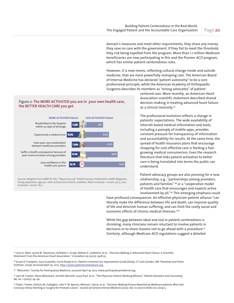domain's measures and meet other requirements, they share any money they save on care with the government. If they fail to meet the threshold, they risk being expelled from the program. More than 1.1 million Medicare beneficiaries are now participating in this and the Pioneer ACO program, which has similar patient-centeredness rules.

However, it is new mores, reflecting cultural change inside and outside medicine, that are most powerfully reshaping care. The American Board of Internal Medicine has declared "patient autonomy" to be a core professional principle, while the American Academy of Orthopaedic Surgeons describes its members as "strong advocates" of patient-

#### Figure 2: **The MORE ACTIVATED you are in your own health care, the BETTER HEALTH CARE you get.**



Source: Adapted from AARP & YOU, "Beyond 50.09" Patient Survey. Published in AARP Magazine. Study population age 50+ with at least one chronic condition. More Involved = Levels 3 & 4, Less Involved  $=$  Levels 1 & 2

centered care. More recently, an American Heart Association scientific statement described shared decision-making in treating advanced heart failure as a clinical necessity.37

The professional evolution reflects a change in patients' expectations. The wide availability of Internet-based medical information and tools, including a panoply of mobile apps, provides constant pressure for transparency of information and accountability for results. At the same time, the spread of health insurance plans that encourage shopping for cost-effective care is feeding a fastgrowing medical consumerism. Even the research literature that links patient activation to better care is being translated into terms the public can understand.

Patient advocacy groups are also pressing for a new relationship; e.g., "partnerships among providers, patients and families" 38 or a "cooperative model of health care that encourages and expects active involvement by all."39 This emerging emphasis could

have profound consequences. An effective physician-patient alliance "can literally make the difference between life and death, can improve quality of life and diminish human suffering, and can limit the costly social and economic effects of chronic medical illnesses."<sup>40</sup>

While the gap between ideal and real in patient-centeredness is shrinking, many clinicians remain reluctant to involve patients in decisions or to share reasons not to go ahead with a procedure.41 Similarly, although Medicare ACO regulations suggest a detailed

37 Larry A. Allen, Lynne W. Stevenson, Kathleen L. Grady, Nathan E. Goldstein, et al., "Decision Making in Advanced Heart Failure: A Scientific Statement From the American Heart Association," *Circulation* 125 (2012): 1928-52.

38 Susan B. Frampton, Sara Guastello, Carrie Brady et al., *Patient-Centered Care Improvement Guide* (Derby, CT and Camden, ME: Planetree and Picker Institute, 2009). Accessed April 19, 2012, http://www.patientcenteredcare.org.

39 "Welcome!," Society for Participatory Medicine, accessed April 19, 2012, www.participatorymedicine.org.

40 Jairo N. Fuertes, Alexa Mislowack, Jennifer Bennett, Laury Paul, et al., "The Physician-Patient Working Alliance," *Patient Education and Counseling* 66, no. 1 (2007): 29–36.

41 Floyd J. Fowler, Patricia M. Gallagher, Julie P. W. Bynum, Michael J. Barry, et al., "Decision-Making Process Reported by Medicare patients Who Had Coronary Artery Stenting or Surgery for Prostate Cancer," *Journal of General Internal Medicine (2012)*. doi: 10.1007/s11606-012-2009-5.